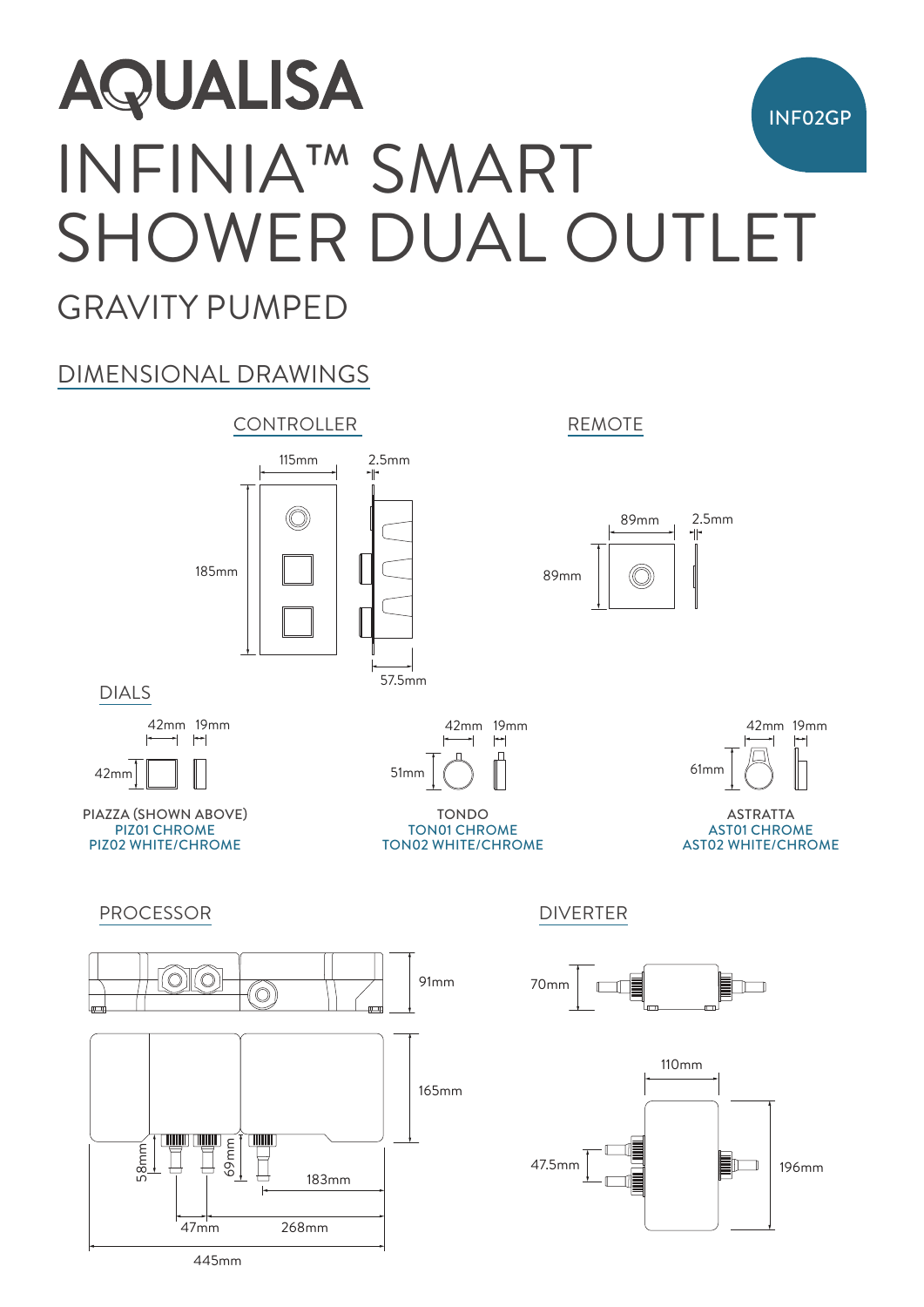## **AQUALISA** INF02GP INFINIA™ SMART SHOWER DUAL OUTLET

### GRAVITY PUMPED

#### DIMENSIONAL DRAWINGS